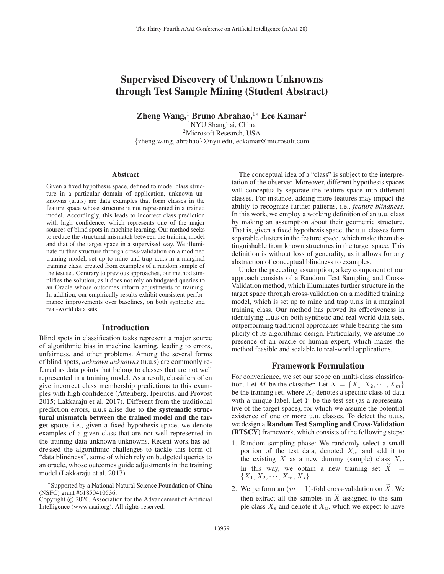# Supervised Discovery of Unknown Unknowns through Test Sample Mining (Student Abstract)

Zheng Wang,<sup>1</sup> Bruno Abrahao,<sup>1</sup><sup>∗</sup> Ece Kamar<sup>2</sup>

1NYU Shanghai, China 2Microsoft Research, USA {zheng.wang, abrahao}@nyu.edu, eckamar@microsoft.com

#### Abstract

Given a fixed hypothesis space, defined to model class structure in a particular domain of application, unknown unknowns (u.u.s) are data examples that form classes in the feature space whose structure is not represented in a trained model. Accordingly, this leads to incorrect class prediction with high confidence, which represents one of the major sources of blind spots in machine learning. Our method seeks to reduce the structural mismatch between the training model and that of the target space in a supervised way. We illuminate further structure through cross-validation on a modified training model, set up to mine and trap u.u.s in a marginal training class, created from examples of a random sample of the test set. Contrary to previous approaches, our method simplifies the solution, as it does not rely on budgeted queries to an Oracle whose outcomes inform adjustments to training. In addition, our empirically results exhibit consistent performance improvements over baselines, on both synthetic and real-world data sets.

### Introduction

Blind spots in classification tasks represent a major source of algorithmic bias in machine learning, leading to errors, unfairness, and other problems. Among the several forms of blind spots, *unknown unknowns* (u.u.s) are commonly referred as data points that belong to classes that are not well represented in a training model. As a result, classifiers often give incorrect class membership predictions to this examples with high confidence (Attenberg, Ipeirotis, and Provost 2015; Lakkaraju et al. 2017). Different from the traditional prediction errors, u.u.s arise due to the systematic structural mismatch between the trained model and the target space, i.e., given a fixed hypothesis space, we denote examples of a given class that are not well represented in the training data unknown unknowns. Recent work has addressed the algorithmic challenges to tackle this form of "data blindness", some of which rely on budgeted queries to an oracle, whose outcomes guide adjustments in the training model (Lakkaraju et al. 2017).

The conceptual idea of a "class" is subject to the interpretation of the observer. Moreover, different hypothesis spaces will conceptually separate the feature space into different classes. For instance, adding more features may impact the ability to recognize further patterns, i.e., *feature blindness*. In this work, we employ a working definition of an u.u. class by making an assumption about their geometric structure. That is, given a fixed hypothesis space, the u.u. classes form separable clusters in the feature space, which make them distinguishable from known structures in the target space. This definition is without loss of generality, as it allows for any abstraction of conceptual blindness to examples.

Under the preceding assumption, a key component of our approach consists of a Random Test Sampling and Cross-Validation method, which illuminates further structure in the target space through cross-validation on a modified training model, which is set up to mine and trap u.u.s in a marginal training class. Our method has proved its effectiveness in identifying u.u.s on both synthetic and real-world data sets, outperforming traditional approaches while bearing the simplicity of its algorithmic design. Particularly, we assume no presence of an oracle or human expert, which makes the method feasible and scalable to real-world applications.

#### Framework Formulation

For convenience, we set our scope on multi-class classification. Let M be the classifier. Let  $X = \{X_1, X_2, \dots, X_m\}$ be the training set, where  $X_i$  denotes a specific class of data with a unique label. Let  $Y$  be the test set (as a representative of the target space), for which we assume the potential existence of one or more u.u. classes. To detect the u.u.s, we design a Random Test Sampling and Cross-Validation (RTSCV) framework, which consists of the following steps:

- 1. Random sampling phase: We randomly select a small portion of the test data, denoted  $X_s$ , and add it to the existing X as a new dummy (sample) class  $X_s$ . **ISOVERTHET A RANGOM TEST SUMPLE THEOTEST**<br> **ISOV**) framework, which consists of the following steps:<br>
Random sampling phase: We randomly select a small<br>
portion of the test data, denoted  $X_s$ , and add it to<br>
the existing  ${X_1, X_2, \cdots, X_m, X_s}.$ 2. We halo is analyzed a sportion of the test data, denoted  $X_s$ , and add<br>the existing  $X$  as a new dummy (sample) class<br>In this way, we obtain a new training set  $\widetilde{X}$ <br> $\{X_1, X_2, \dots, X_m, X_s\}$ .<br>2. We perform an  $(m + 1)$ the existing X as a new dumm<br>In this way, we obtain a new<br> $\{X_1, X_2, \dots, X_m, X_s\}$ .<br>We perform an  $(m + 1)$ -fold cros<br>then extract all the samples in  $\widetilde{X}$
- 2. We perform an  $(m + 1)$ -fold cross-validation on X. We then extract all the samples in  $\widetilde{X}$  assigned to the sample class  $X_s$  and denote it  $X_u$ , which we expect to have

<sup>∗</sup>Supported by a National Natural Science Foundation of China (NSFC) grant #61850410536.

Copyright  $\odot$  2020, Association for the Advancement of Artificial Intelligence (www.aaai.org). All rights reserved.